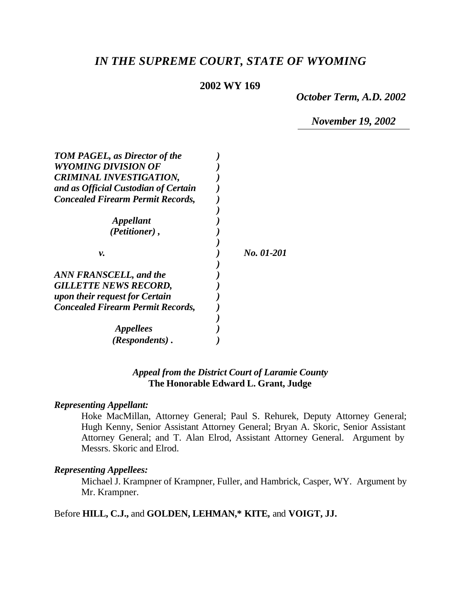# *IN THE SUPREME COURT, STATE OF WYOMING*

## **2002 WY 169**

*October Term, A.D. 2002*

*November 19, 2002*

| <b>TOM PAGEL, as Director of the</b><br><b>WYOMING DIVISION OF</b> |            |
|--------------------------------------------------------------------|------------|
| <b>CRIMINAL INVESTIGATION,</b>                                     |            |
| and as Official Custodian of Certain                               |            |
| <b>Concealed Firearm Permit Records,</b>                           |            |
|                                                                    |            |
| <i><b>Appellant</b></i>                                            |            |
| (Petitioner),                                                      |            |
|                                                                    |            |
| v.                                                                 | No. 01-201 |
|                                                                    |            |
| <b>ANN FRANSCELL, and the</b>                                      |            |
| <b>GILLETTE NEWS RECORD,</b>                                       |            |
| upon their request for Certain                                     |            |
| <b>Concealed Firearm Permit Records,</b>                           |            |
|                                                                    |            |
| <b>Appellees</b>                                                   |            |
| (Respondents).                                                     |            |

# *Appeal from the District Court of Laramie County* **The Honorable Edward L. Grant, Judge**

#### *Representing Appellant:*

Hoke MacMillan, Attorney General; Paul S. Rehurek, Deputy Attorney General; Hugh Kenny, Senior Assistant Attorney General; Bryan A. Skoric, Senior Assistant Attorney General; and T. Alan Elrod, Assistant Attorney General. Argument by Messrs. Skoric and Elrod.

### *Representing Appellees:*

Michael J. Krampner of Krampner, Fuller, and Hambrick, Casper, WY. Argument by Mr. Krampner.

# Before **HILL, C.J.,** and **GOLDEN, LEHMAN,\* KITE,** and **VOIGT, JJ.**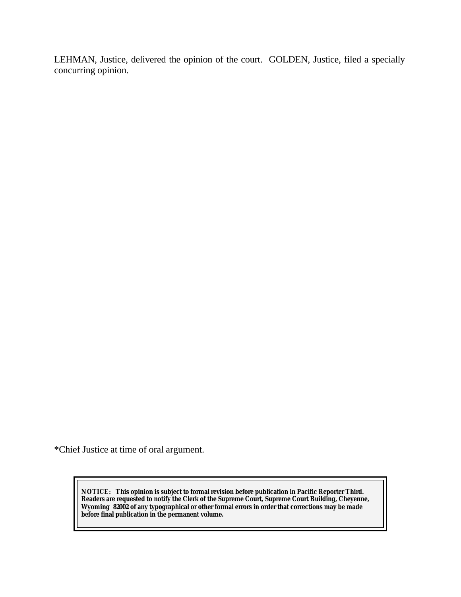LEHMAN, Justice, delivered the opinion of the court. GOLDEN, Justice, filed a specially concurring opinion.

\*Chief Justice at time of oral argument.

**NOTICE:** *This opinion is subject to formal revision before publication in Pacific Reporter Third. Readers are requested to notify the Clerk of the Supreme Court, Supreme Court Building, Cheyenne, Wyoming 82002 of any typographical or other formal errors in order that corrections may be made before final publication in the permanent volume.*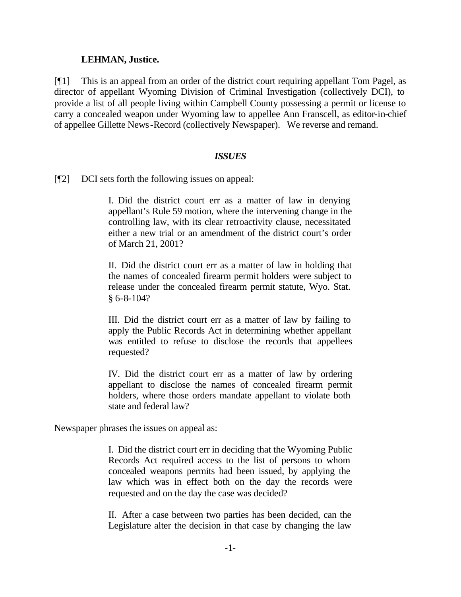### **LEHMAN, Justice.**

[¶1] This is an appeal from an order of the district court requiring appellant Tom Pagel, as director of appellant Wyoming Division of Criminal Investigation (collectively DCI), to provide a list of all people living within Campbell County possessing a permit or license to carry a concealed weapon under Wyoming law to appellee Ann Franscell, as editor-in-chief of appellee Gillette News-Record (collectively Newspaper). We reverse and remand.

### *ISSUES*

[¶2] DCI sets forth the following issues on appeal:

I. Did the district court err as a matter of law in denying appellant's Rule 59 motion, where the intervening change in the controlling law, with its clear retroactivity clause, necessitated either a new trial or an amendment of the district court's order of March 21, 2001?

II. Did the district court err as a matter of law in holding that the names of concealed firearm permit holders were subject to release under the concealed firearm permit statute, Wyo. Stat. § 6-8-104?

III. Did the district court err as a matter of law by failing to apply the Public Records Act in determining whether appellant was entitled to refuse to disclose the records that appellees requested?

IV. Did the district court err as a matter of law by ordering appellant to disclose the names of concealed firearm permit holders, where those orders mandate appellant to violate both state and federal law?

Newspaper phrases the issues on appeal as:

I. Did the district court err in deciding that the Wyoming Public Records Act required access to the list of persons to whom concealed weapons permits had been issued, by applying the law which was in effect both on the day the records were requested and on the day the case was decided?

II. After a case between two parties has been decided, can the Legislature alter the decision in that case by changing the law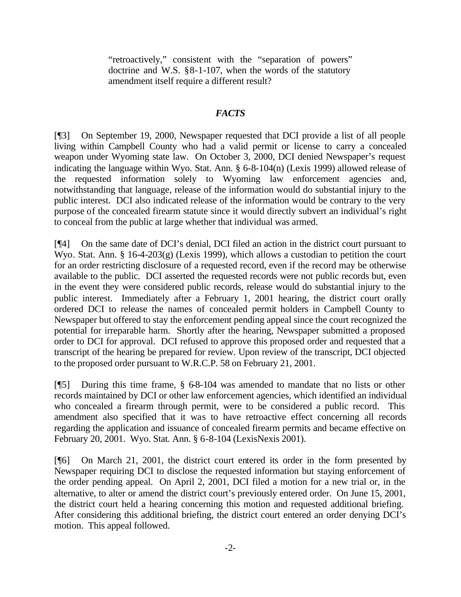"retroactively," consistent with the "separation of powers" doctrine and W.S. §8-1-107, when the words of the statutory amendment itself require a different result?

# *FACTS*

[¶3] On September 19, 2000, Newspaper requested that DCI provide a list of all people living within Campbell County who had a valid permit or license to carry a concealed weapon under Wyoming state law. On October 3, 2000, DCI denied Newspaper's request indicating the language within Wyo. Stat. Ann. § 6-8-104(n) (Lexis 1999) allowed release of the requested information solely to Wyoming law enforcement agencies and, notwithstanding that language, release of the information would do substantial injury to the public interest. DCI also indicated release of the information would be contrary to the very purpose of the concealed firearm statute since it would directly subvert an individual's right to conceal from the public at large whether that individual was armed.

[¶4] On the same date of DCI's denial, DCI filed an action in the district court pursuant to Wyo. Stat. Ann. § 16-4-203(g) (Lexis 1999), which allows a custodian to petition the court for an order restricting disclosure of a requested record, even if the record may be otherwise available to the public. DCI asserted the requested records were not public records but, even in the event they were considered public records, release would do substantial injury to the public interest. Immediately after a February 1, 2001 hearing, the district court orally ordered DCI to release the names of concealed permit holders in Campbell County to Newspaper but offered to stay the enforcement pending appeal since the court recognized the potential for irreparable harm. Shortly after the hearing, Newspaper submitted a proposed order to DCI for approval. DCI refused to approve this proposed order and requested that a transcript of the hearing be prepared for review. Upon review of the transcript, DCI objected to the proposed order pursuant to W.R.C.P. 58 on February 21, 2001.

[¶5] During this time frame, § 6-8-104 was amended to mandate that no lists or other records maintained by DCI or other law enforcement agencies, which identified an individual who concealed a firearm through permit, were to be considered a public record. This amendment also specified that it was to have retroactive effect concerning all records regarding the application and issuance of concealed firearm permits and became effective on February 20, 2001. Wyo. Stat. Ann. § 6-8-104 (LexisNexis 2001).

[¶6] On March 21, 2001, the district court entered its order in the form presented by Newspaper requiring DCI to disclose the requested information but staying enforcement of the order pending appeal. On April 2, 2001, DCI filed a motion for a new trial or, in the alternative, to alter or amend the district court's previously entered order. On June 15, 2001, the district court held a hearing concerning this motion and requested additional briefing. After considering this additional briefing, the district court entered an order denying DCI's motion. This appeal followed.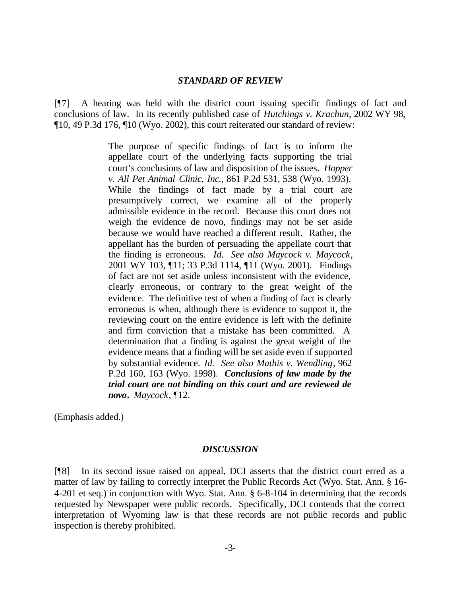#### *STANDARD OF REVIEW*

[¶7] A hearing was held with the district court issuing specific findings of fact and conclusions of law. In its recently published case of *Hutchings v. Krachun*, 2002 WY 98, ¶10, 49 P.3d 176, ¶10 (Wyo. 2002), this court reiterated our standard of review:

> The purpose of specific findings of fact is to inform the appellate court of the underlying facts supporting the trial court's conclusions of law and disposition of the issues. *Hopper v. All Pet Animal Clinic, Inc.*, 861 P.2d 531, 538 (Wyo. 1993). While the findings of fact made by a trial court are presumptively correct, we examine all of the properly admissible evidence in the record. Because this court does not weigh the evidence de novo, findings may not be set aside because we would have reached a different result. Rather, the appellant has the burden of persuading the appellate court that the finding is erroneous. *Id. See also Maycock v. Maycock*, 2001 WY 103, ¶11; 33 P.3d 1114, ¶11 (Wyo. 2001). Findings of fact are not set aside unless inconsistent with the evidence, clearly erroneous, or contrary to the great weight of the evidence. The definitive test of when a finding of fact is clearly erroneous is when, although there is evidence to support it, the reviewing court on the entire evidence is left with the definite and firm conviction that a mistake has been committed. A determination that a finding is against the great weight of the evidence means that a finding will be set aside even if supported by substantial evidence. *Id. See also Mathis v. Wendling*, 962 P.2d 160, 163 (Wyo. 1998). *Conclusions of law made by the trial court are not binding on this court and are reviewed de novo***.** *Maycock*, ¶12.

(Emphasis added.)

#### *DISCUSSION*

[¶8] In its second issue raised on appeal, DCI asserts that the district court erred as a matter of law by failing to correctly interpret the Public Records Act (Wyo. Stat. Ann. § 16- 4-201 et seq.) in conjunction with Wyo. Stat. Ann. § 6-8-104 in determining that the records requested by Newspaper were public records. Specifically, DCI contends that the correct interpretation of Wyoming law is that these records are not public records and public inspection is thereby prohibited.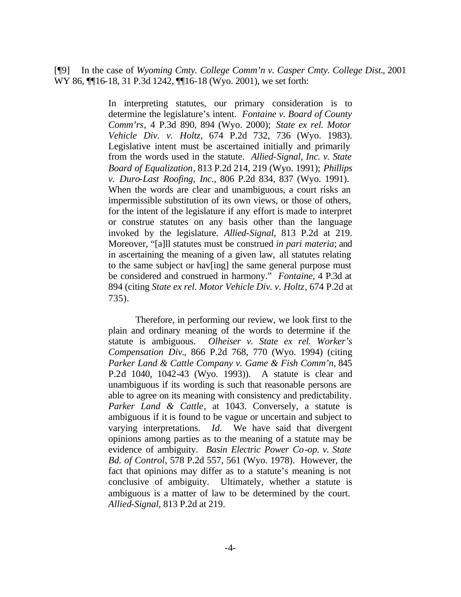[¶9] In the case of *Wyoming Cmty. College Comm'n v. Casper Cmty. College Dist.*, 2001 WY 86,  $\P$ [16-18, 31 P.3d 1242,  $\P$ [16-18 (Wyo. 2001), we set forth:

> In interpreting statutes, our primary consideration is to determine the legislature's intent. *Fontaine v. Board of County Comm'rs*, 4 P.3d 890, 894 (Wyo. 2000); *State ex rel. Motor Vehicle Div. v. Holtz*, 674 P.2d 732, 736 (Wyo. 1983). Legislative intent must be ascertained initially and primarily from the words used in the statute. *Allied-Signal, Inc. v. State Board of Equalization*, 813 P.2d 214, 219 (Wyo. 1991); *Phillips v. Duro-Last Roofing, Inc.*, 806 P.2d 834, 837 (Wyo. 1991). When the words are clear and unambiguous, a court risks an impermissible substitution of its own views, or those of others, for the intent of the legislature if any effort is made to interpret or construe statutes on any basis other than the language invoked by the legislature. *Allied-Signal*, 813 P.2d at 219. Moreover, "[a]ll statutes must be construed *in pari materia*; and in ascertaining the meaning of a given law, all statutes relating to the same subject or hav[ing] the same general purpose must be considered and construed in harmony." *Fontaine*, 4 P.3d at 894 (citing *State ex rel. Motor Vehicle Div. v. Holtz*, 674 P.2d at 735).

> Therefore, in performing our review, we look first to the plain and ordinary meaning of the words to determine if the statute is ambiguous. *Olheiser v. State ex rel. Worker's Compensation Div.*, 866 P.2d 768, 770 (Wyo. 1994) (citing *Parker Land & Cattle Company v. Game & Fish Comm'n*, 845 P.2d 1040, 1042-43 (Wyo. 1993)). A statute is clear and unambiguous if its wording is such that reasonable persons are able to agree on its meaning with consistency and predictability. *Parker Land & Cattle*, at 1043. Conversely, a statute is ambiguous if it is found to be vague or uncertain and subject to varying interpretations. *Id.* We have said that divergent opinions among parties as to the meaning of a statute may be evidence of ambiguity. *Basin Electric Power Co-op. v. State Bd. of Control*, 578 P.2d 557, 561 (Wyo. 1978). However, the fact that opinions may differ as to a statute's meaning is not conclusive of ambiguity. Ultimately, whether a statute is ambiguous is a matter of law to be determined by the court. *Allied-Signal*, 813 P.2d at 219.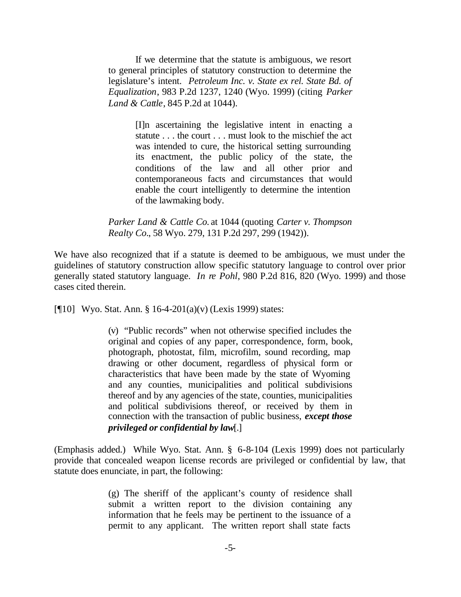If we determine that the statute is ambiguous, we resort to general principles of statutory construction to determine the legislature's intent. *Petroleum Inc. v. State ex rel. State Bd. of Equalization*, 983 P.2d 1237, 1240 (Wyo. 1999) (citing *Parker Land & Cattle*, 845 P.2d at 1044).

> [I]n ascertaining the legislative intent in enacting a statute . . . the court . . . must look to the mischief the act was intended to cure, the historical setting surrounding its enactment, the public policy of the state, the conditions of the law and all other prior and contemporaneous facts and circumstances that would enable the court intelligently to determine the intention of the lawmaking body.

*Parker Land & Cattle Co.* at 1044 (quoting *Carter v. Thompson Realty Co.*, 58 Wyo. 279, 131 P.2d 297, 299 (1942)).

We have also recognized that if a statute is deemed to be ambiguous, we must under the guidelines of statutory construction allow specific statutory language to control over prior generally stated statutory language. *In re Pohl*, 980 P.2d 816, 820 (Wyo. 1999) and those cases cited therein.

[ $[10]$  Wyo. Stat. Ann. § 16-4-201(a)(v) (Lexis 1999) states:

(v) "Public records" when not otherwise specified includes the original and copies of any paper, correspondence, form, book, photograph, photostat, film, microfilm, sound recording, map drawing or other document, regardless of physical form or characteristics that have been made by the state of Wyoming and any counties, municipalities and political subdivisions thereof and by any agencies of the state, counties, municipalities and political subdivisions thereof, or received by them in connection with the transaction of public business, *except those privileged or confidential by law*[.]

(Emphasis added.) While Wyo. Stat. Ann. § 6-8-104 (Lexis 1999) does not particularly provide that concealed weapon license records are privileged or confidential by law, that statute does enunciate, in part, the following:

> (g) The sheriff of the applicant's county of residence shall submit a written report to the division containing any information that he feels may be pertinent to the issuance of a permit to any applicant. The written report shall state facts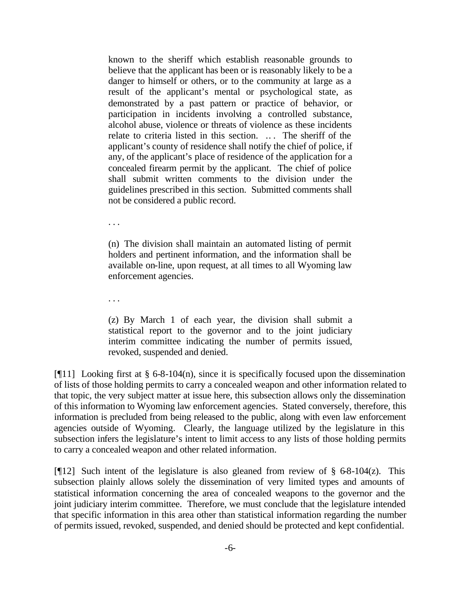known to the sheriff which establish reasonable grounds to believe that the applicant has been or is reasonably likely to be a danger to himself or others, or to the community at large as a result of the applicant's mental or psychological state, as demonstrated by a past pattern or practice of behavior, or participation in incidents involving a controlled substance, alcohol abuse, violence or threats of violence as these incidents relate to criteria listed in this section. .. . The sheriff of the applicant's county of residence shall notify the chief of police, if any, of the applicant's place of residence of the application for a concealed firearm permit by the applicant. The chief of police shall submit written comments to the division under the guidelines prescribed in this section. Submitted comments shall not be considered a public record.

. . .

(n) The division shall maintain an automated listing of permit holders and pertinent information, and the information shall be available on-line, upon request, at all times to all Wyoming law enforcement agencies.

. . .

(z) By March 1 of each year, the division shall submit a statistical report to the governor and to the joint judiciary interim committee indicating the number of permits issued, revoked, suspended and denied.

[ $[11]$ ] Looking first at § 6-8-104(n), since it is specifically focused upon the dissemination of lists of those holding permits to carry a concealed weapon and other information related to that topic, the very subject matter at issue here, this subsection allows only the dissemination of this information to Wyoming law enforcement agencies. Stated conversely, therefore, this information is precluded from being released to the public, along with even law enforcement agencies outside of Wyoming. Clearly, the language utilized by the legislature in this subsection infers the legislature's intent to limit access to any lists of those holding permits to carry a concealed weapon and other related information.

[ $[12]$  Such intent of the legislature is also gleaned from review of § 6-8-104(z). This subsection plainly allows solely the dissemination of very limited types and amounts of statistical information concerning the area of concealed weapons to the governor and the joint judiciary interim committee. Therefore, we must conclude that the legislature intended that specific information in this area other than statistical information regarding the number of permits issued, revoked, suspended, and denied should be protected and kept confidential.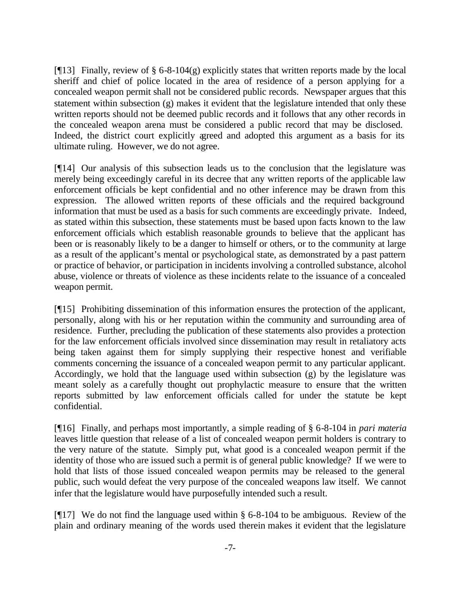[ $[13]$  Finally, review of § 6-8-104(g) explicitly states that written reports made by the local sheriff and chief of police located in the area of residence of a person applying for a concealed weapon permit shall not be considered public records. Newspaper argues that this statement within subsection (g) makes it evident that the legislature intended that only these written reports should not be deemed public records and it follows that any other records in the concealed weapon arena must be considered a public record that may be disclosed. Indeed, the district court explicitly agreed and adopted this argument as a basis for its ultimate ruling. However, we do not agree.

[¶14] Our analysis of this subsection leads us to the conclusion that the legislature was merely being exceedingly careful in its decree that any written reports of the applicable law enforcement officials be kept confidential and no other inference may be drawn from this expression. The allowed written reports of these officials and the required background information that must be used as a basis for such comments are exceedingly private. Indeed, as stated within this subsection, these statements must be based upon facts known to the law enforcement officials which establish reasonable grounds to believe that the applicant has been or is reasonably likely to be a danger to himself or others, or to the community at large as a result of the applicant's mental or psychological state, as demonstrated by a past pattern or practice of behavior, or participation in incidents involving a controlled substance, alcohol abuse, violence or threats of violence as these incidents relate to the issuance of a concealed weapon permit.

[¶15] Prohibiting dissemination of this information ensures the protection of the applicant, personally, along with his or her reputation within the community and surrounding area of residence. Further, precluding the publication of these statements also provides a protection for the law enforcement officials involved since dissemination may result in retaliatory acts being taken against them for simply supplying their respective honest and verifiable comments concerning the issuance of a concealed weapon permit to any particular applicant. Accordingly, we hold that the language used within subsection (g) by the legislature was meant solely as a carefully thought out prophylactic measure to ensure that the written reports submitted by law enforcement officials called for under the statute be kept confidential.

[¶16] Finally, and perhaps most importantly, a simple reading of § 6-8-104 in *pari materia*  leaves little question that release of a list of concealed weapon permit holders is contrary to the very nature of the statute. Simply put, what good is a concealed weapon permit if the identity of those who are issued such a permit is of general public knowledge? If we were to hold that lists of those issued concealed weapon permits may be released to the general public, such would defeat the very purpose of the concealed weapons law itself. We cannot infer that the legislature would have purposefully intended such a result.

[ $[$ ][17] We do not find the language used within § 6-8-104 to be ambiguous. Review of the plain and ordinary meaning of the words used therein makes it evident that the legislature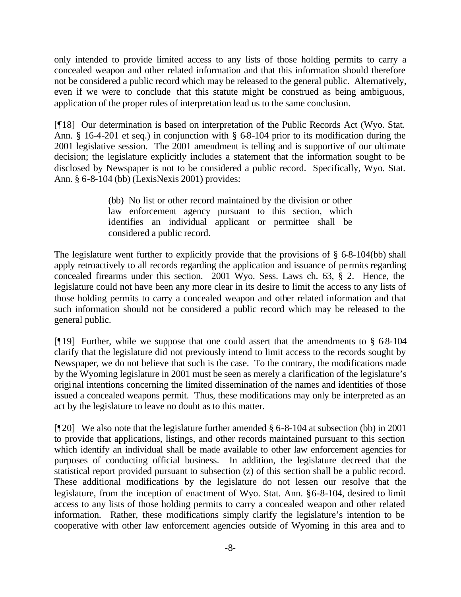only intended to provide limited access to any lists of those holding permits to carry a concealed weapon and other related information and that this information should therefore not be considered a public record which may be released to the general public. Alternatively, even if we were to conclude that this statute might be construed as being ambiguous, application of the proper rules of interpretation lead us to the same conclusion.

[¶18] Our determination is based on interpretation of the Public Records Act (Wyo. Stat. Ann. § 16-4-201 et seq.) in conjunction with § 6-8-104 prior to its modification during the 2001 legislative session. The 2001 amendment is telling and is supportive of our ultimate decision; the legislature explicitly includes a statement that the information sought to be disclosed by Newspaper is not to be considered a public record. Specifically, Wyo. Stat. Ann. § 6-8-104 (bb) (LexisNexis 2001) provides:

> (bb) No list or other record maintained by the division or other law enforcement agency pursuant to this section, which identifies an individual applicant or permittee shall be considered a public record.

The legislature went further to explicitly provide that the provisions of  $\S 6-8-104$  (bb) shall apply retroactively to all records regarding the application and issuance of permits regarding concealed firearms under this section. 2001 Wyo. Sess. Laws ch. 63, § 2. Hence, the legislature could not have been any more clear in its desire to limit the access to any lists of those holding permits to carry a concealed weapon and other related information and that such information should not be considered a public record which may be released to the general public.

[ $[$ [19] Further, while we suppose that one could assert that the amendments to § 68-104 clarify that the legislature did not previously intend to limit access to the records sought by Newspaper, we do not believe that such is the case. To the contrary, the modifications made by the Wyoming legislature in 2001 must be seen as merely a clarification of the legislature's original intentions concerning the limited dissemination of the names and identities of those issued a concealed weapons permit. Thus, these modifications may only be interpreted as an act by the legislature to leave no doubt as to this matter.

[¶20] We also note that the legislature further amended § 6-8-104 at subsection (bb) in 2001 to provide that applications, listings, and other records maintained pursuant to this section which identify an individual shall be made available to other law enforcement agencies for purposes of conducting official business. In addition, the legislature decreed that the statistical report provided pursuant to subsection (z) of this section shall be a public record. These additional modifications by the legislature do not lessen our resolve that the legislature, from the inception of enactment of Wyo. Stat. Ann. §6-8-104, desired to limit access to any lists of those holding permits to carry a concealed weapon and other related information. Rather, these modifications simply clarify the legislature's intention to be cooperative with other law enforcement agencies outside of Wyoming in this area and to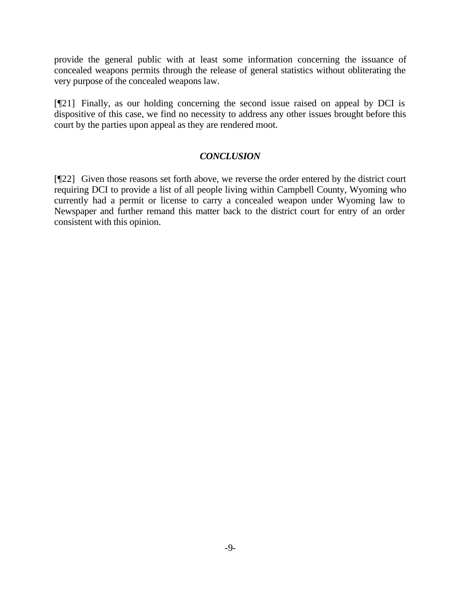provide the general public with at least some information concerning the issuance of concealed weapons permits through the release of general statistics without obliterating the very purpose of the concealed weapons law.

[¶21] Finally, as our holding concerning the second issue raised on appeal by DCI is dispositive of this case, we find no necessity to address any other issues brought before this court by the parties upon appeal as they are rendered moot.

# *CONCLUSION*

[¶22] Given those reasons set forth above, we reverse the order entered by the district court requiring DCI to provide a list of all people living within Campbell County, Wyoming who currently had a permit or license to carry a concealed weapon under Wyoming law to Newspaper and further remand this matter back to the district court for entry of an order consistent with this opinion.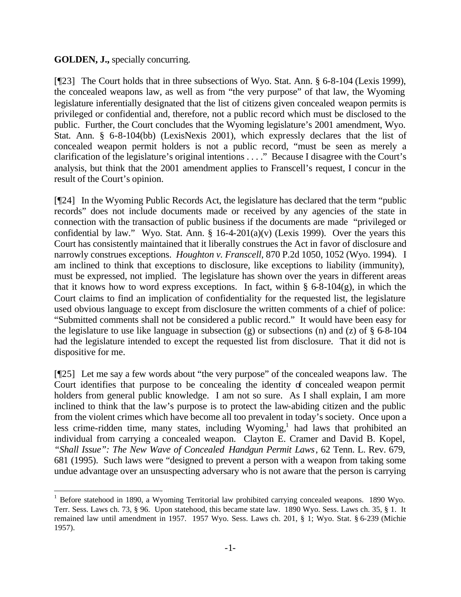# **GOLDEN, J.,** specially concurring.

l

[¶23] The Court holds that in three subsections of Wyo. Stat. Ann. § 6-8-104 (Lexis 1999), the concealed weapons law, as well as from "the very purpose" of that law, the Wyoming legislature inferentially designated that the list of citizens given concealed weapon permits is privileged or confidential and, therefore, not a public record which must be disclosed to the public. Further, the Court concludes that the Wyoming legislature's 2001 amendment, Wyo. Stat. Ann. § 6-8-104(bb) (LexisNexis 2001), which expressly declares that the list of concealed weapon permit holders is not a public record, "must be seen as merely a clarification of the legislature's original intentions . . . ." Because I disagree with the Court's analysis, but think that the 2001 amendment applies to Franscell's request, I concur in the result of the Court's opinion.

[¶24] In the Wyoming Public Records Act, the legislature has declared that the term "public records" does not include documents made or received by any agencies of the state in connection with the transaction of public business if the documents are made "privileged or confidential by law." Wyo. Stat. Ann.  $\S$  16-4-201(a)(v) (Lexis 1999). Over the years this Court has consistently maintained that it liberally construes the Act in favor of disclosure and narrowly construes exceptions. *Houghton v. Franscell*, 870 P.2d 1050, 1052 (Wyo. 1994). I am inclined to think that exceptions to disclosure, like exceptions to liability (immunity), must be expressed, not implied. The legislature has shown over the years in different areas that it knows how to word express exceptions. In fact, within  $\S$  6-8-104(g), in which the Court claims to find an implication of confidentiality for the requested list, the legislature used obvious language to except from disclosure the written comments of a chief of police: "Submitted comments shall not be considered a public record." It would have been easy for the legislature to use like language in subsection (g) or subsections (n) and (z) of  $\S$  6-8-104 had the legislature intended to except the requested list from disclosure. That it did not is dispositive for me.

[¶25] Let me say a few words about "the very purpose" of the concealed weapons law. The Court identifies that purpose to be concealing the identity of concealed weapon permit holders from general public knowledge. I am not so sure. As I shall explain, I am more inclined to think that the law's purpose is to protect the law-abiding citizen and the public from the violent crimes which have become all too prevalent in today's society. Once upon a less crime-ridden time, many states, including Wyoming,<sup>1</sup> had laws that prohibited an individual from carrying a concealed weapon. Clayton E. Cramer and David B. Kopel, *"Shall Issue": The New Wave of Concealed Handgun Permit Laws*, 62 Tenn. L. Rev. 679, 681 (1995). Such laws were "designed to prevent a person with a weapon from taking some undue advantage over an unsuspecting adversary who is not aware that the person is carrying

<sup>&</sup>lt;sup>1</sup> Before statehood in 1890, a Wyoming Territorial law prohibited carrying concealed weapons. 1890 Wyo. Terr. Sess. Laws ch. 73, § 96. Upon statehood, this became state law. 1890 Wyo. Sess. Laws ch. 35, § 1. It remained law until amendment in 1957. 1957 Wyo. Sess. Laws ch. 201, § 1; Wyo. Stat. § 6-239 (Michie 1957).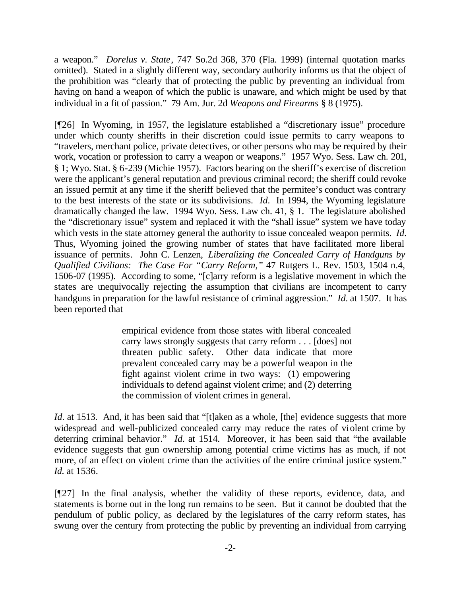a weapon." *Dorelus v. State*, 747 So.2d 368, 370 (Fla. 1999) (internal quotation marks omitted). Stated in a slightly different way, secondary authority informs us that the object of the prohibition was "clearly that of protecting the public by preventing an individual from having on hand a weapon of which the public is unaware, and which might be used by that individual in a fit of passion." 79 Am. Jur. 2d *Weapons and Firearms* § 8 (1975).

[¶26] In Wyoming, in 1957, the legislature established a "discretionary issue" procedure under which county sheriffs in their discretion could issue permits to carry weapons to "travelers, merchant police, private detectives, or other persons who may be required by their work, vocation or profession to carry a weapon or weapons." 1957 Wyo. Sess. Law ch. 201, § 1; Wyo. Stat. § 6-239 (Michie 1957). Factors bearing on the sheriff's exercise of discretion were the applicant's general reputation and previous criminal record; the sheriff could revoke an issued permit at any time if the sheriff believed that the permitee's conduct was contrary to the best interests of the state or its subdivisions. *Id.* In 1994, the Wyoming legislature dramatically changed the law. 1994 Wyo. Sess. Law ch. 41, § 1. The legislature abolished the "discretionary issue" system and replaced it with the "shall issue" system we have today which vests in the state attorney general the authority to issue concealed weapon permits. *Id.* Thus, Wyoming joined the growing number of states that have facilitated more liberal issuance of permits. John C. Lenzen, *Liberalizing the Concealed Carry of Handguns by Qualified Civilians: The Case For "Carry Reform,"* 47 Rutgers L. Rev. 1503, 1504 n.4, 1506-07 (1995). According to some, "[c]arry reform is a legislative movement in which the states are unequivocally rejecting the assumption that civilians are incompetent to carry handguns in preparation for the lawful resistance of criminal aggression." *Id.* at 1507. It has been reported that

> empirical evidence from those states with liberal concealed carry laws strongly suggests that carry reform . . . [does] not threaten public safety. Other data indicate that more prevalent concealed carry may be a powerful weapon in the fight against violent crime in two ways: (1) empowering individuals to defend against violent crime; and (2) deterring the commission of violent crimes in general.

*Id.* at 1513. And, it has been said that "[t]aken as a whole, [the] evidence suggests that more widespread and well-publicized concealed carry may reduce the rates of violent crime by deterring criminal behavior." *Id.* at 1514. Moreover, it has been said that "the available evidence suggests that gun ownership among potential crime victims has as much, if not more, of an effect on violent crime than the activities of the entire criminal justice system." *Id.* at 1536.

[¶27] In the final analysis, whether the validity of these reports, evidence, data, and statements is borne out in the long run remains to be seen. But it cannot be doubted that the pendulum of public policy, as declared by the legislatures of the carry reform states, has swung over the century from protecting the public by preventing an individual from carrying